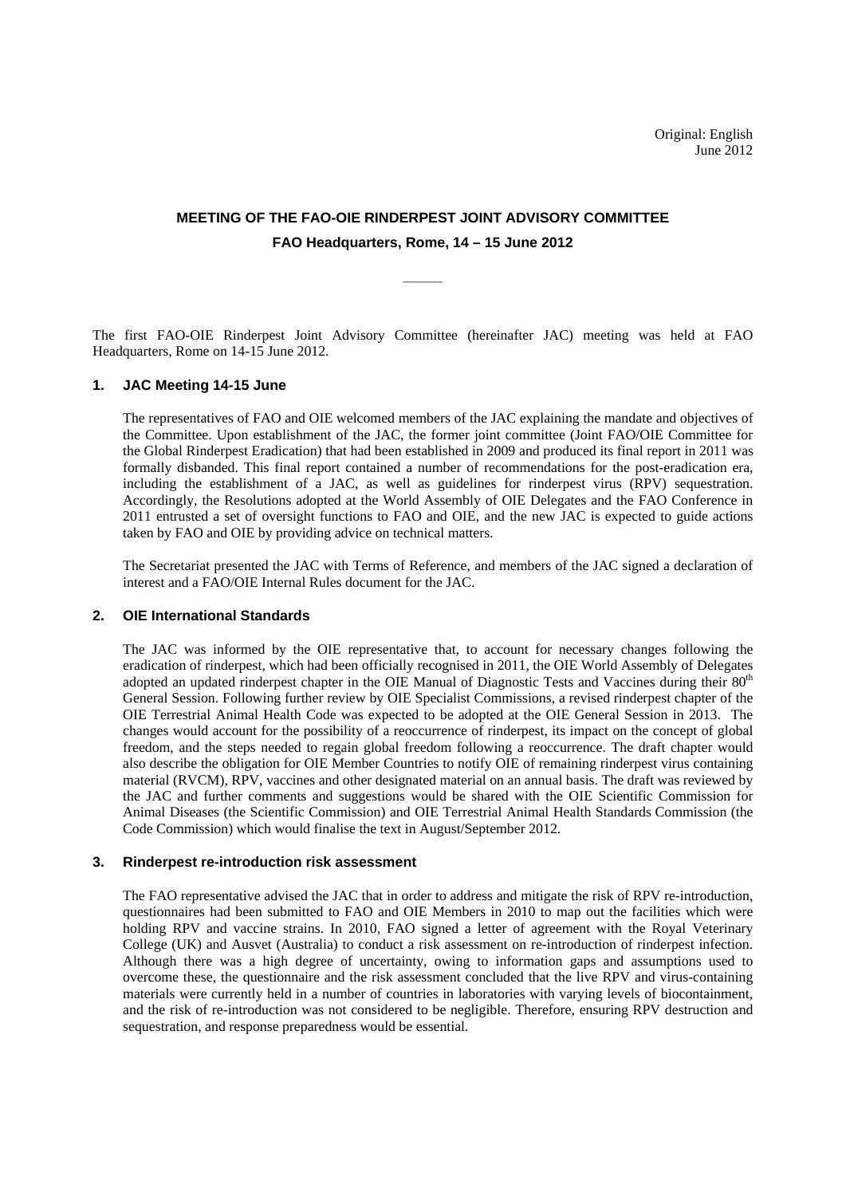# **MEETING OF THE FAO-OIE RINDERPEST JOINT ADVISORY COMMITTEE FAO Headquarters, Rome, 14 – 15 June 2012**

**\_\_\_\_\_** 

The first FAO-OIE Rinderpest Joint Advisory Committee (hereinafter JAC) meeting was held at FAO Headquarters, Rome on 14-15 June 2012.

#### **1. JAC Meeting 14-15 June**

The representatives of FAO and OIE welcomed members of the JAC explaining the mandate and objectives of the Committee. Upon establishment of the JAC, the former joint committee (Joint FAO/OIE Committee for the Global Rinderpest Eradication) that had been established in 2009 and produced its final report in 2011 was formally disbanded. This final report contained a number of recommendations for the post-eradication era, including the establishment of a JAC, as well as guidelines for rinderpest virus (RPV) sequestration. Accordingly, the Resolutions adopted at the World Assembly of OIE Delegates and the FAO Conference in 2011 entrusted a set of oversight functions to FAO and OIE, and the new JAC is expected to guide actions taken by FAO and OIE by providing advice on technical matters.

The Secretariat presented the JAC with Terms of Reference, and members of the JAC signed a declaration of interest and a FAO/OIE Internal Rules document for the JAC.

## **2. OIE International Standards**

The JAC was informed by the OIE representative that, to account for necessary changes following the eradication of rinderpest, which had been officially recognised in 2011, the OIE World Assembly of Delegates adopted an updated rinderpest chapter in the OIE Manual of Diagnostic Tests and Vaccines during their 80<sup>th</sup> General Session. Following further review by OIE Specialist Commissions, a revised rinderpest chapter of the OIE Terrestrial Animal Health Code was expected to be adopted at the OIE General Session in 2013. The changes would account for the possibility of a reoccurrence of rinderpest, its impact on the concept of global freedom, and the steps needed to regain global freedom following a reoccurrence. The draft chapter would also describe the obligation for OIE Member Countries to notify OIE of remaining rinderpest virus containing material (RVCM), RPV, vaccines and other designated material on an annual basis. The draft was reviewed by the JAC and further comments and suggestions would be shared with the OIE Scientific Commission for Animal Diseases (the Scientific Commission) and OIE Terrestrial Animal Health Standards Commission (the Code Commission) which would finalise the text in August/September 2012.

#### **3. Rinderpest re-introduction risk assessment**

The FAO representative advised the JAC that in order to address and mitigate the risk of RPV re-introduction, questionnaires had been submitted to FAO and OIE Members in 2010 to map out the facilities which were holding RPV and vaccine strains. In 2010, FAO signed a letter of agreement with the Royal Veterinary College (UK) and Ausvet (Australia) to conduct a risk assessment on re-introduction of rinderpest infection. Although there was a high degree of uncertainty, owing to information gaps and assumptions used to overcome these, the questionnaire and the risk assessment concluded that the live RPV and virus-containing materials were currently held in a number of countries in laboratories with varying levels of biocontainment, and the risk of re-introduction was not considered to be negligible. Therefore, ensuring RPV destruction and sequestration, and response preparedness would be essential.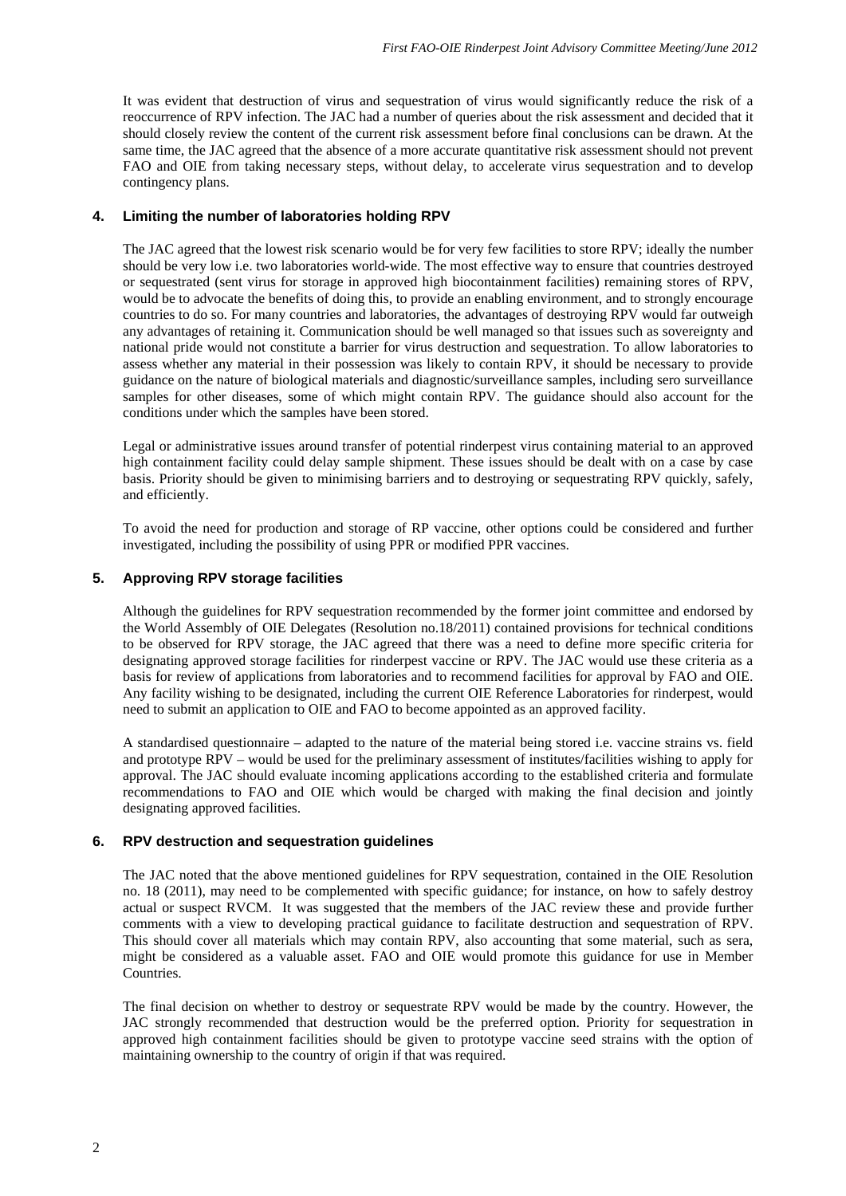It was evident that destruction of virus and sequestration of virus would significantly reduce the risk of a reoccurrence of RPV infection. The JAC had a number of queries about the risk assessment and decided that it should closely review the content of the current risk assessment before final conclusions can be drawn. At the same time, the JAC agreed that the absence of a more accurate quantitative risk assessment should not prevent FAO and OIE from taking necessary steps, without delay, to accelerate virus sequestration and to develop contingency plans.

## **4. Limiting the number of laboratories holding RPV**

The JAC agreed that the lowest risk scenario would be for very few facilities to store RPV; ideally the number should be very low i.e. two laboratories world-wide. The most effective way to ensure that countries destroyed or sequestrated (sent virus for storage in approved high biocontainment facilities) remaining stores of RPV, would be to advocate the benefits of doing this, to provide an enabling environment, and to strongly encourage countries to do so. For many countries and laboratories, the advantages of destroying RPV would far outweigh any advantages of retaining it. Communication should be well managed so that issues such as sovereignty and national pride would not constitute a barrier for virus destruction and sequestration. To allow laboratories to assess whether any material in their possession was likely to contain RPV, it should be necessary to provide guidance on the nature of biological materials and diagnostic/surveillance samples, including sero surveillance samples for other diseases, some of which might contain RPV. The guidance should also account for the conditions under which the samples have been stored.

Legal or administrative issues around transfer of potential rinderpest virus containing material to an approved high containment facility could delay sample shipment. These issues should be dealt with on a case by case basis. Priority should be given to minimising barriers and to destroying or sequestrating RPV quickly, safely, and efficiently.

To avoid the need for production and storage of RP vaccine, other options could be considered and further investigated, including the possibility of using PPR or modified PPR vaccines.

## **5. Approving RPV storage facilities**

Although the guidelines for RPV sequestration recommended by the former joint committee and endorsed by the World Assembly of OIE Delegates (Resolution no.18/2011) contained provisions for technical conditions to be observed for RPV storage, the JAC agreed that there was a need to define more specific criteria for designating approved storage facilities for rinderpest vaccine or RPV. The JAC would use these criteria as a basis for review of applications from laboratories and to recommend facilities for approval by FAO and OIE. Any facility wishing to be designated, including the current OIE Reference Laboratories for rinderpest, would need to submit an application to OIE and FAO to become appointed as an approved facility.

A standardised questionnaire – adapted to the nature of the material being stored i.e. vaccine strains vs. field and prototype RPV – would be used for the preliminary assessment of institutes/facilities wishing to apply for approval. The JAC should evaluate incoming applications according to the established criteria and formulate recommendations to FAO and OIE which would be charged with making the final decision and jointly designating approved facilities.

## **6. RPV destruction and sequestration guidelines**

The JAC noted that the above mentioned guidelines for RPV sequestration, contained in the OIE Resolution no. 18 (2011), may need to be complemented with specific guidance; for instance, on how to safely destroy actual or suspect RVCM. It was suggested that the members of the JAC review these and provide further comments with a view to developing practical guidance to facilitate destruction and sequestration of RPV. This should cover all materials which may contain RPV, also accounting that some material, such as sera, might be considered as a valuable asset. FAO and OIE would promote this guidance for use in Member Countries.

The final decision on whether to destroy or sequestrate RPV would be made by the country. However, the JAC strongly recommended that destruction would be the preferred option. Priority for sequestration in approved high containment facilities should be given to prototype vaccine seed strains with the option of maintaining ownership to the country of origin if that was required.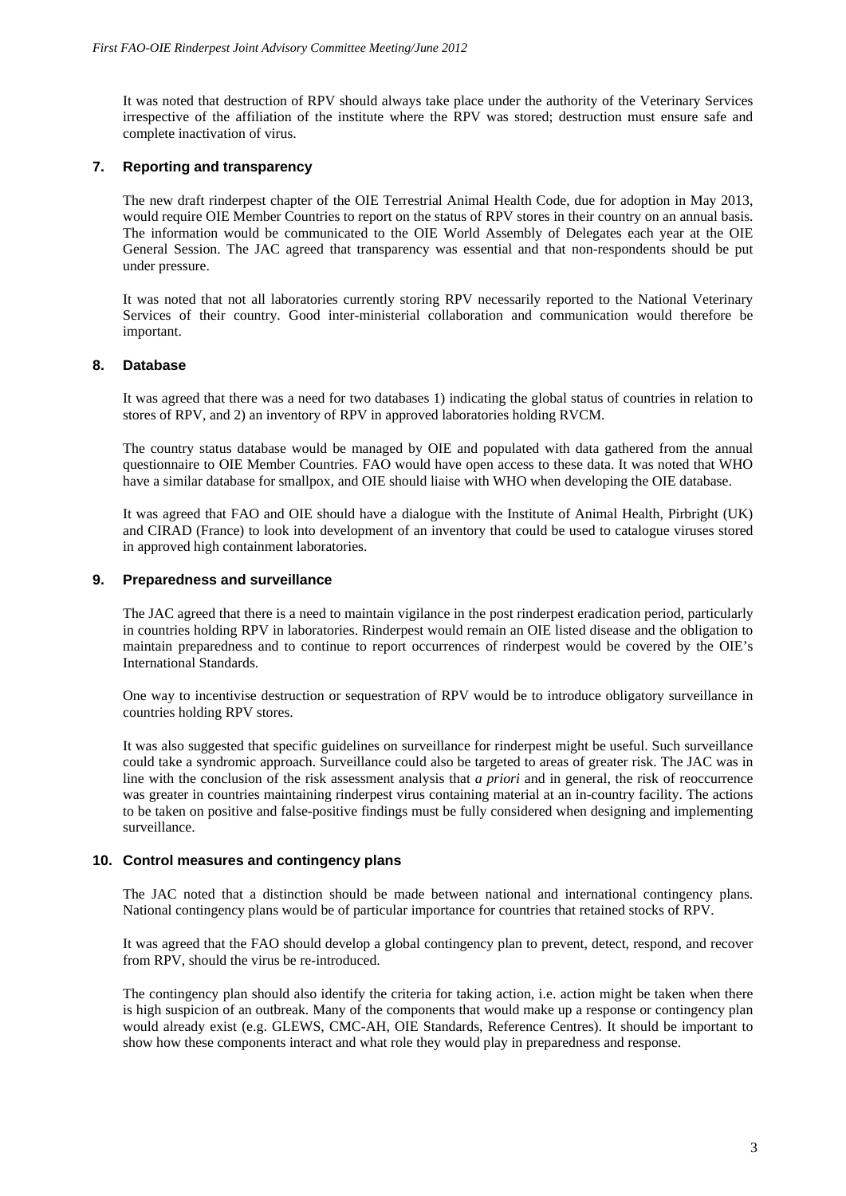It was noted that destruction of RPV should always take place under the authority of the Veterinary Services irrespective of the affiliation of the institute where the RPV was stored; destruction must ensure safe and complete inactivation of virus.

## **7. Reporting and transparency**

The new draft rinderpest chapter of the OIE Terrestrial Animal Health Code, due for adoption in May 2013, would require OIE Member Countries to report on the status of RPV stores in their country on an annual basis. The information would be communicated to the OIE World Assembly of Delegates each year at the OIE General Session. The JAC agreed that transparency was essential and that non-respondents should be put under pressure.

It was noted that not all laboratories currently storing RPV necessarily reported to the National Veterinary Services of their country. Good inter-ministerial collaboration and communication would therefore be important.

## **8. Database**

It was agreed that there was a need for two databases 1) indicating the global status of countries in relation to stores of RPV, and 2) an inventory of RPV in approved laboratories holding RVCM.

The country status database would be managed by OIE and populated with data gathered from the annual questionnaire to OIE Member Countries. FAO would have open access to these data. It was noted that WHO have a similar database for smallpox, and OIE should liaise with WHO when developing the OIE database.

It was agreed that FAO and OIE should have a dialogue with the Institute of Animal Health, Pirbright (UK) and CIRAD (France) to look into development of an inventory that could be used to catalogue viruses stored in approved high containment laboratories.

#### **9. Preparedness and surveillance**

The JAC agreed that there is a need to maintain vigilance in the post rinderpest eradication period, particularly in countries holding RPV in laboratories. Rinderpest would remain an OIE listed disease and the obligation to maintain preparedness and to continue to report occurrences of rinderpest would be covered by the OIE's International Standards.

One way to incentivise destruction or sequestration of RPV would be to introduce obligatory surveillance in countries holding RPV stores.

It was also suggested that specific guidelines on surveillance for rinderpest might be useful. Such surveillance could take a syndromic approach. Surveillance could also be targeted to areas of greater risk. The JAC was in line with the conclusion of the risk assessment analysis that *a priori* and in general, the risk of reoccurrence was greater in countries maintaining rinderpest virus containing material at an in-country facility. The actions to be taken on positive and false-positive findings must be fully considered when designing and implementing surveillance.

## **10. Control measures and contingency plans**

The JAC noted that a distinction should be made between national and international contingency plans. National contingency plans would be of particular importance for countries that retained stocks of RPV.

It was agreed that the FAO should develop a global contingency plan to prevent, detect, respond, and recover from RPV, should the virus be re-introduced.

The contingency plan should also identify the criteria for taking action, i.e. action might be taken when there is high suspicion of an outbreak. Many of the components that would make up a response or contingency plan would already exist (e.g. GLEWS, CMC-AH, OIE Standards, Reference Centres). It should be important to show how these components interact and what role they would play in preparedness and response.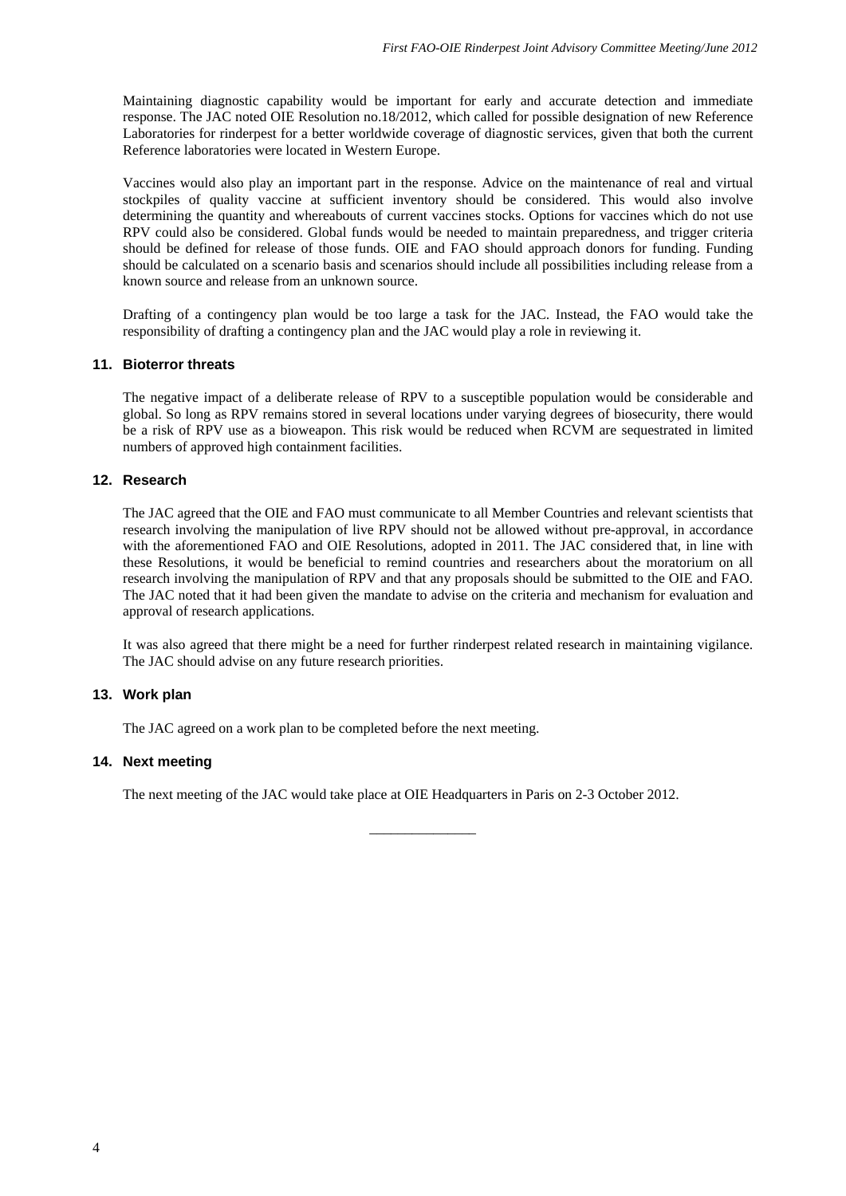Maintaining diagnostic capability would be important for early and accurate detection and immediate response. The JAC noted OIE Resolution no.18/2012, which called for possible designation of new Reference Laboratories for rinderpest for a better worldwide coverage of diagnostic services, given that both the current Reference laboratories were located in Western Europe.

Vaccines would also play an important part in the response. Advice on the maintenance of real and virtual stockpiles of quality vaccine at sufficient inventory should be considered. This would also involve determining the quantity and whereabouts of current vaccines stocks. Options for vaccines which do not use RPV could also be considered. Global funds would be needed to maintain preparedness, and trigger criteria should be defined for release of those funds. OIE and FAO should approach donors for funding. Funding should be calculated on a scenario basis and scenarios should include all possibilities including release from a known source and release from an unknown source.

Drafting of a contingency plan would be too large a task for the JAC. Instead, the FAO would take the responsibility of drafting a contingency plan and the JAC would play a role in reviewing it.

## **11. Bioterror threats**

The negative impact of a deliberate release of RPV to a susceptible population would be considerable and global. So long as RPV remains stored in several locations under varying degrees of biosecurity, there would be a risk of RPV use as a bioweapon. This risk would be reduced when RCVM are sequestrated in limited numbers of approved high containment facilities.

## **12. Research**

The JAC agreed that the OIE and FAO must communicate to all Member Countries and relevant scientists that research involving the manipulation of live RPV should not be allowed without pre-approval, in accordance with the aforementioned FAO and OIE Resolutions, adopted in 2011. The JAC considered that, in line with these Resolutions, it would be beneficial to remind countries and researchers about the moratorium on all research involving the manipulation of RPV and that any proposals should be submitted to the OIE and FAO. The JAC noted that it had been given the mandate to advise on the criteria and mechanism for evaluation and approval of research applications.

It was also agreed that there might be a need for further rinderpest related research in maintaining vigilance. The JAC should advise on any future research priorities.

## **13. Work plan**

The JAC agreed on a work plan to be completed before the next meeting.

## **14. Next meeting**

The next meeting of the JAC would take place at OIE Headquarters in Paris on 2-3 October 2012.

\_\_\_\_\_\_\_\_\_\_\_\_\_\_\_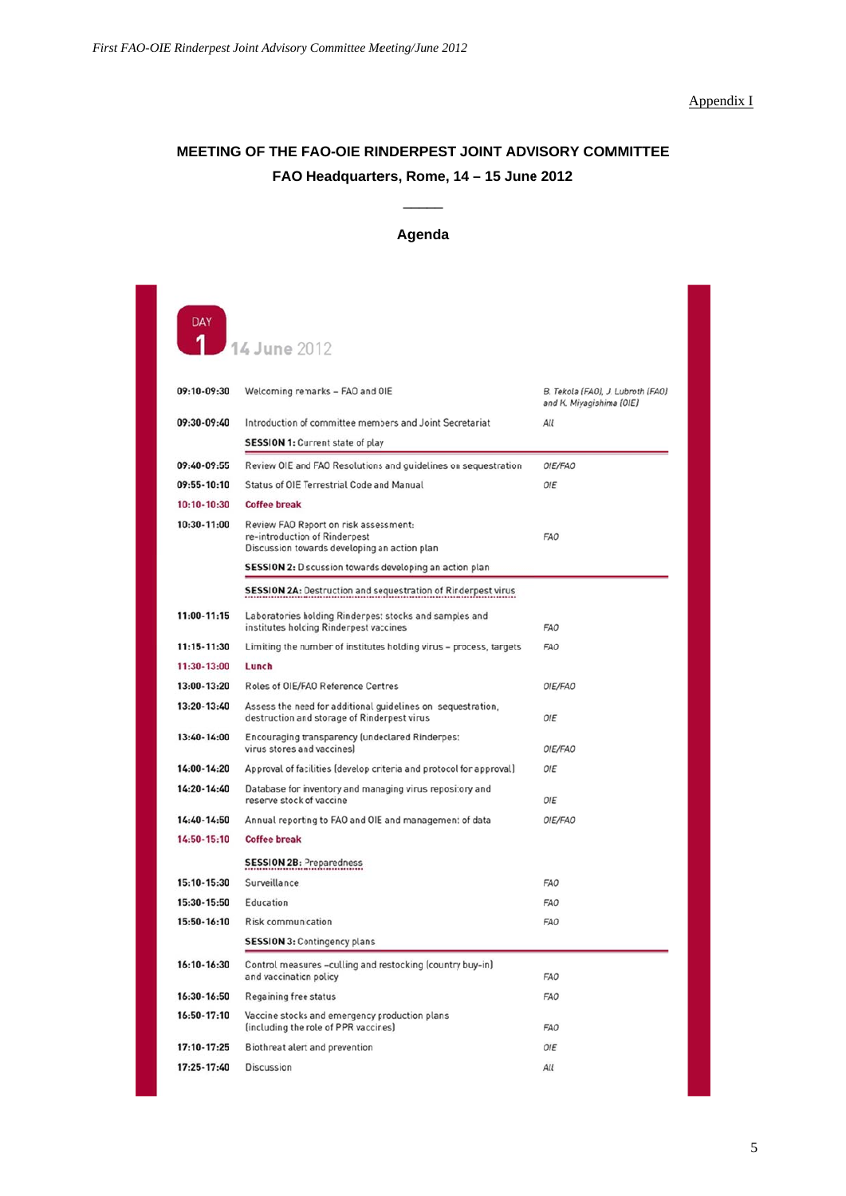## Appendix I

# **MEETING OF THE FAO-OIE RINDERPEST JOINT ADVISORY COMMITTEE FAO Headquarte ers, Rome, 1 14 – 15 June 2012**

 $\overline{\phantom{a}}$ 

# **Agenda**

14 June 2012

 $\overline{\mathbf{1}}$ 

| 09:10-09:30 | Welcoming remarks - FAO and OIE                                                                                        | B. Tekola (FAO), J. Lubroth (FAO)<br>and K. Miyagishima (OIE) |
|-------------|------------------------------------------------------------------------------------------------------------------------|---------------------------------------------------------------|
| 09:30-09:40 | Introduction of committee members and Joint Secretariat                                                                | All                                                           |
|             | <b>SESSION 1: Current state of play</b>                                                                                |                                                               |
| 09:40-09:55 | Review OIE and FAO Resolutions and guidelines on sequestration                                                         | OIE/FAO                                                       |
| 09:55-10:10 | Status of OIE Terrestrial Code and Manual                                                                              | OIE                                                           |
| 10:10-10:30 | <b>Coffee break</b>                                                                                                    |                                                               |
| 10:30-11:00 | Review FAO Report on risk assessment:<br>re-introduction of Rinderpest<br>Discussion towards developing an action plan | FAO                                                           |
|             | <b>SESSION 2:</b> Discussion towards developing an action plan                                                         |                                                               |
|             | <b>SESSION 2A: Destruction and sequestration of Rinderpest virus</b>                                                   |                                                               |
| 11:00-11:15 | Laboratories holding Rinderpest stocks and samples and<br>institutes holding Rinderpest vaccines                       | FAO                                                           |
| 11:15-11:30 | Limiting the number of institutes holding virus - process, targets                                                     | FAO                                                           |
| 11:30-13:00 | Lunch                                                                                                                  |                                                               |
| 13:00-13:20 | Roles of OIE/FAO Reference Centres                                                                                     | OIE/FAO                                                       |
| 13:20-13:40 | Assess the need for additional guidelines on sequestration,<br>destruction and storage of Rinderpest virus             | OIE                                                           |
| 13:40-14:00 | Encouraging transparency (undeclared Rinderpest<br>virus stores and vaccines]                                          | OIE/FAO                                                       |
| 14:00-14:20 | Approval of facilities (develop criteria and protocol for approval)                                                    | OIE                                                           |
| 14:20-14:40 | Database for inventory and managing virus repository and<br>reserve stock of vaccine                                   | <b>OIE</b>                                                    |
| 14:40-14:50 | Annual reporting to FAO and OIE and management of data                                                                 | OIE/FAO                                                       |
| 14:50-15:10 | <b>Coffee break</b>                                                                                                    |                                                               |
|             | <b>SESSION 2B: Preparedness</b>                                                                                        |                                                               |
| 15:10-15:30 | Surveillance                                                                                                           | FAO                                                           |
| 15:30-15:50 | Education                                                                                                              | FAO                                                           |
| 15:50-16:10 | <b>Risk communication</b>                                                                                              | FAO                                                           |
|             | <b>SESSION 3: Contingency plans</b>                                                                                    |                                                               |
| 16:10-16:30 | Control measures -culling and restocking (country buy-in)<br>and vaccination policy                                    | FAO                                                           |
| 16:30-16:50 | Regaining free status                                                                                                  | FAO                                                           |
| 16:50-17:10 | Vaccine stocks and emergency production plans<br>(including the role of PPR vaccines)                                  | FAO                                                           |
| 17:10-17:25 | Biothreat alert and prevention                                                                                         | OIE                                                           |
| 17:25-17:40 | <b>Discussion</b>                                                                                                      | All                                                           |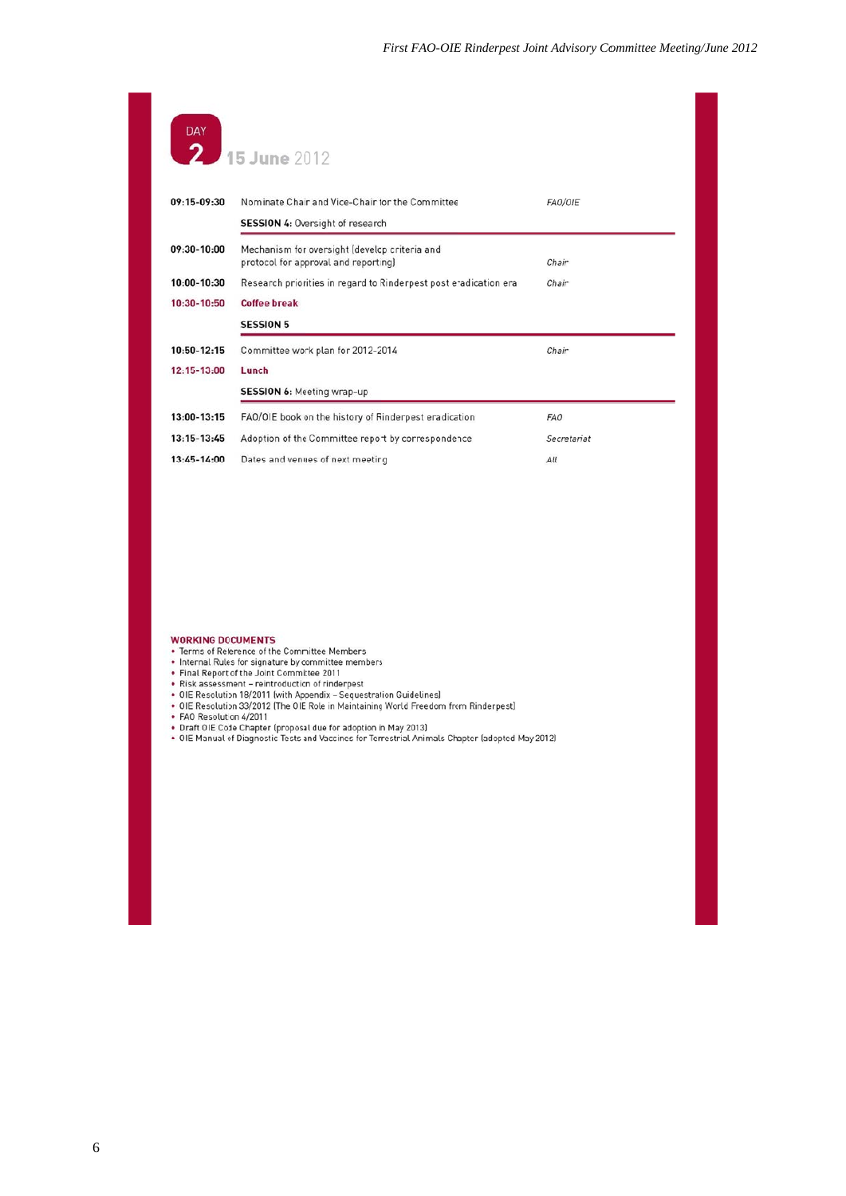| DAY 15 June 2012 |                                                                                       |             |  |
|------------------|---------------------------------------------------------------------------------------|-------------|--|
| 09:15-09:30      | Nominate Chair and Vice-Chair for the Committee                                       | FAO/OIE     |  |
|                  | <b>SESSION 4: Oversight of research</b>                                               |             |  |
| 09:30-10:00      | Mechanism for oversight (develop criteria and<br>protocol for approval and reporting) | Chair       |  |
| $10:00 - 10:30$  | Research priorities in regard to Rinderpest post eradication era                      | Chair       |  |
| 10:30-10:50      | <b>Coffee break</b>                                                                   |             |  |
|                  | <b>SESSION 5</b>                                                                      |             |  |
| $10:50 - 12:15$  | Committee work plan for 2012-2014                                                     | Chair       |  |
| 12:15-13:00      | Lunch                                                                                 |             |  |
|                  | <b>SESSION 6:</b> Meeting wrap-up                                                     |             |  |
| 13:00-13:15      | FAO/OIE book on the history of Rinderpest eradication                                 | FAO         |  |
| $13:15 - 13:45$  | Adoption of the Committee report by correspondence                                    | Secretariat |  |
| 13:45-14:00      | Dates and venues of next meeting                                                      | All         |  |

- 
- 
- 
- 
- 
- 
- 
- WORKING DOCUMENTS<br>• Terms of Reference of the Committee Members<br>• Internal Rules for signature by committee members<br>• Final Report of the Joint Committee 2011<br>• Risk assessment reintroduction of rinderpest<br>• OIE Resoluti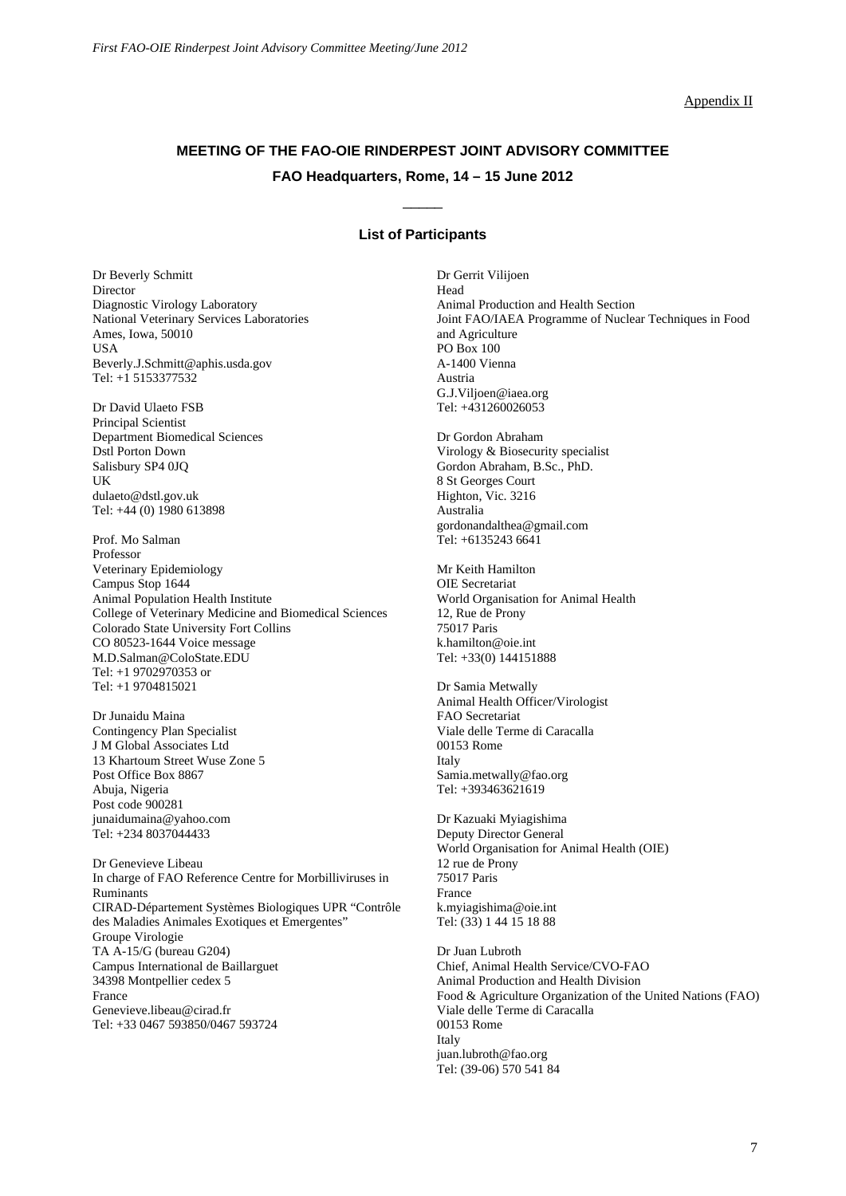#### Appendix II

# **MEETING OF THE FAO-OIE RINDERPEST JOINT ADVISORY COMMITTEE FAO Headquarters, Rome, 14 – 15 June 2012**

## **List of Participants**

\_\_\_\_\_

Dr Beverly Schmitt **Director** Diagnostic Virology Laboratory National Veterinary Services Laboratories Ames, Iowa, 50010 USA Beverly.J.Schmitt@aphis.usda.gov Tel: +1 5153377532

Dr David Ulaeto FSB Principal Scientist Department Biomedical Sciences Dstl Porton Down Salisbury SP4 0JQ UK dulaeto@dstl.gov.uk Tel: +44 (0) 1980 613898

Prof. Mo Salman Professor Veterinary Epidemiology Campus Stop 1644 Animal Population Health Institute College of Veterinary Medicine and Biomedical Sciences Colorado State University Fort Collins CO 80523-1644 Voice message M.D.Salman@ColoState.EDU Tel: +1 9702970353 or Tel: +1 9704815021

Dr Junaidu Maina Contingency Plan Specialist J M Global Associates Ltd 13 Khartoum Street Wuse Zone 5 Post Office Box 8867 Abuja, Nigeria Post code 900281 junaidumaina@yahoo.com Tel: +234 8037044433

Dr Genevieve Libeau In charge of FAO Reference Centre for Morbilliviruses in Ruminants CIRAD-Département Systèmes Biologiques UPR "Contrôle des Maladies Animales Exotiques et Emergentes" Groupe Virologie TA A-15/G (bureau G204) Campus International de Baillarguet 34398 Montpellier cedex 5 France Genevieve.libeau@cirad.fr Tel: +33 0467 593850/0467 593724

Dr Gerrit Vilijoen Head Animal Production and Health Section Joint FAO/IAEA Programme of Nuclear Techniques in Food and Agriculture PO Box 100 A-1400 Vienna Austria G.J.Viljoen@iaea.org Tel: +431260026053

Dr Gordon Abraham Virology & Biosecurity specialist Gordon Abraham, B.Sc., PhD. 8 St Georges Court Highton, Vic. 3216 Australia gordonandalthea@gmail.com Tel: +6135243 6641

Mr Keith Hamilton OIE Secretariat World Organisation for Animal Health 12, Rue de Prony 75017 Paris k.hamilton@oie.int Tel: +33(0) 144151888

Dr Samia Metwally Animal Health Officer/Virologist FAO Secretariat Viale delle Terme di Caracalla 00153 Rome Italy Samia.metwally@fao.org Tel: +393463621619

Dr Kazuaki Myiagishima Deputy Director General World Organisation for Animal Health (OIE) 12 rue de Prony 75017 Paris France k.myiagishima@oie.int Tel: (33) 1 44 15 18 88

Dr Juan Lubroth Chief, Animal Health Service/CVO-FAO Animal Production and Health Division Food & Agriculture Organization of the United Nations (FAO) Viale delle Terme di Caracalla 00153 Rome Italy juan.lubroth@fao.org Tel: (39-06) 570 541 84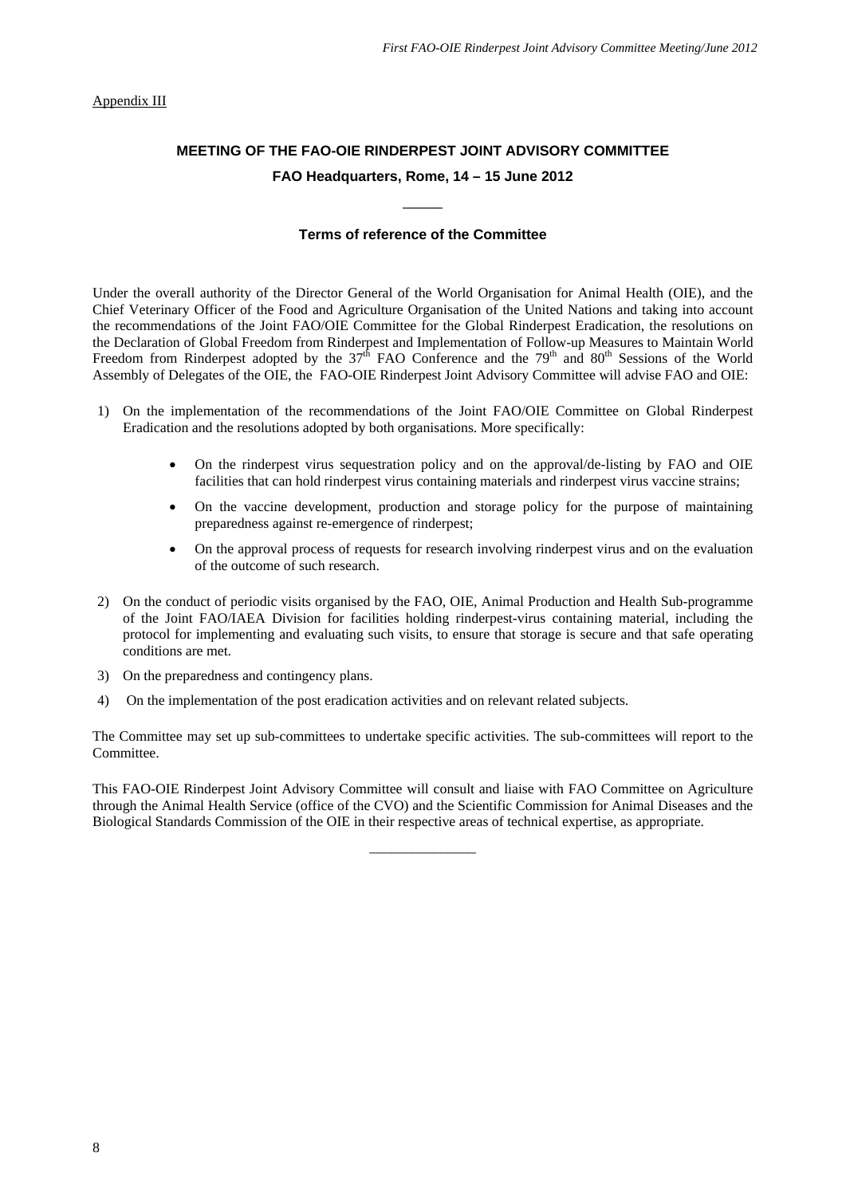## Appendix III

# **MEETING OF THE FAO-OIE RINDERPEST JOINT ADVISORY COMMITTEE FAO Headquarters, Rome, 14 – 15 June 2012**

## **Terms of reference of the Committee**

\_\_\_\_\_

Under the overall authority of the Director General of the World Organisation for Animal Health (OIE), and the Chief Veterinary Officer of the Food and Agriculture Organisation of the United Nations and taking into account the recommendations of the Joint FAO/OIE Committee for the Global Rinderpest Eradication, the resolutions on the Declaration of Global Freedom from Rinderpest and Implementation of Follow-up Measures to Maintain World Freedom from Rinderpest adopted by the 37<sup>th</sup> FAO Conference and the 79<sup>th</sup> and 80<sup>th</sup> Sessions of the World Assembly of Delegates of the OIE, the FAO-OIE Rinderpest Joint Advisory Committee will advise FAO and OIE:

- 1) On the implementation of the recommendations of the Joint FAO/OIE Committee on Global Rinderpest Eradication and the resolutions adopted by both organisations. More specifically:
	- On the rinderpest virus sequestration policy and on the approval/de-listing by FAO and OIE facilities that can hold rinderpest virus containing materials and rinderpest virus vaccine strains;
	- On the vaccine development, production and storage policy for the purpose of maintaining preparedness against re-emergence of rinderpest;
	- On the approval process of requests for research involving rinderpest virus and on the evaluation of the outcome of such research.
- 2) On the conduct of periodic visits organised by the FAO, OIE, Animal Production and Health Sub-programme of the Joint FAO/IAEA Division for facilities holding rinderpest-virus containing material, including the protocol for implementing and evaluating such visits, to ensure that storage is secure and that safe operating conditions are met.
- 3) On the preparedness and contingency plans.
- 4) On the implementation of the post eradication activities and on relevant related subjects.

The Committee may set up sub-committees to undertake specific activities. The sub-committees will report to the Committee.

This FAO-OIE Rinderpest Joint Advisory Committee will consult and liaise with FAO Committee on Agriculture through the Animal Health Service (office of the CVO) and the Scientific Commission for Animal Diseases and the Biological Standards Commission of the OIE in their respective areas of technical expertise, as appropriate.

\_\_\_\_\_\_\_\_\_\_\_\_\_\_\_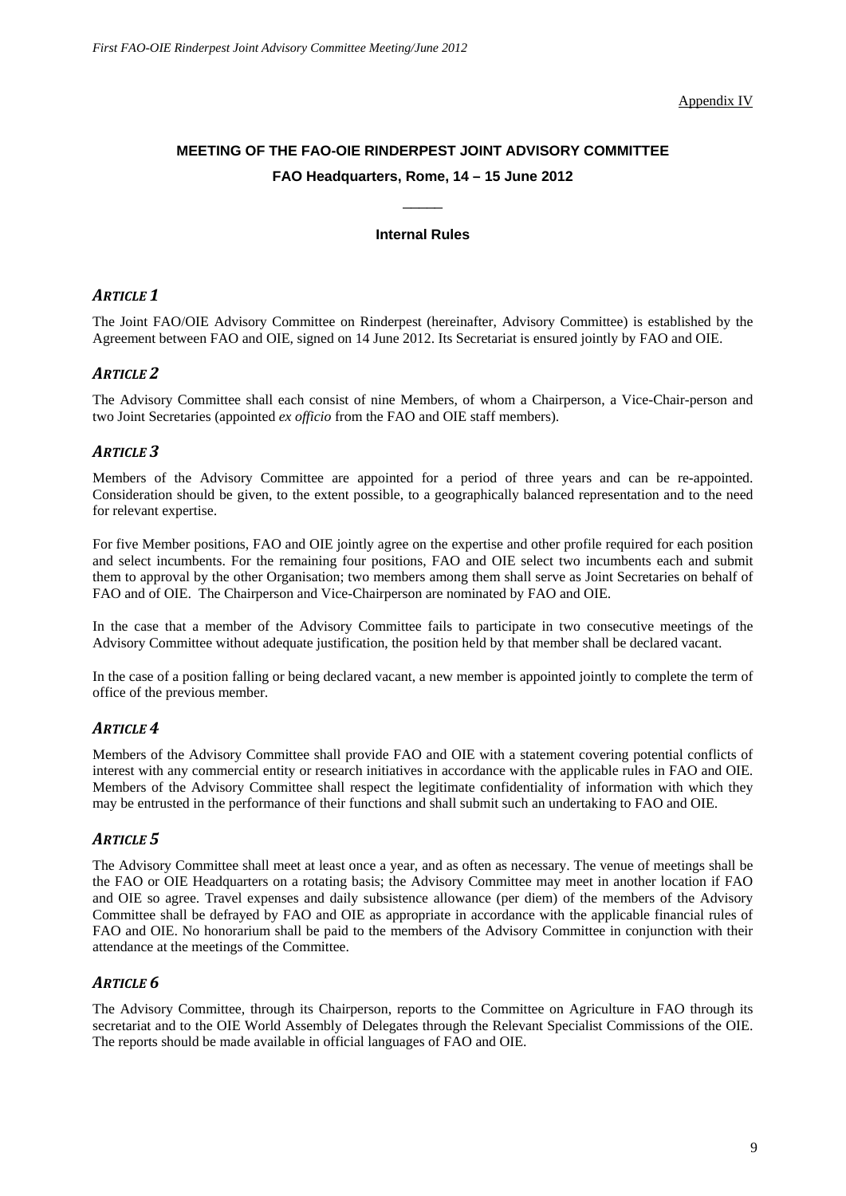Appendix IV

# **MEETING OF THE FAO-OIE RINDERPEST JOINT ADVISORY COMMITTEE FAO Headquarters, Rome, 14 – 15 June 2012**

## **Internal Rules**

\_\_\_\_\_

## *ARTICLE 1*

The Joint FAO/OIE Advisory Committee on Rinderpest (hereinafter, Advisory Committee) is established by the Agreement between FAO and OIE, signed on 14 June 2012. Its Secretariat is ensured jointly by FAO and OIE.

## *ARTICLE 2*

The Advisory Committee shall each consist of nine Members, of whom a Chairperson, a Vice-Chair-person and two Joint Secretaries (appointed *ex officio* from the FAO and OIE staff members).

## *ARTICLE 3*

Members of the Advisory Committee are appointed for a period of three years and can be re-appointed. Consideration should be given, to the extent possible, to a geographically balanced representation and to the need for relevant expertise.

For five Member positions, FAO and OIE jointly agree on the expertise and other profile required for each position and select incumbents. For the remaining four positions, FAO and OIE select two incumbents each and submit them to approval by the other Organisation; two members among them shall serve as Joint Secretaries on behalf of FAO and of OIE. The Chairperson and Vice-Chairperson are nominated by FAO and OIE.

In the case that a member of the Advisory Committee fails to participate in two consecutive meetings of the Advisory Committee without adequate justification, the position held by that member shall be declared vacant.

In the case of a position falling or being declared vacant, a new member is appointed jointly to complete the term of office of the previous member.

## *ARTICLE 4*

Members of the Advisory Committee shall provide FAO and OIE with a statement covering potential conflicts of interest with any commercial entity or research initiatives in accordance with the applicable rules in FAO and OIE. Members of the Advisory Committee shall respect the legitimate confidentiality of information with which they may be entrusted in the performance of their functions and shall submit such an undertaking to FAO and OIE.

## *ARTICLE 5*

The Advisory Committee shall meet at least once a year, and as often as necessary. The venue of meetings shall be the FAO or OIE Headquarters on a rotating basis; the Advisory Committee may meet in another location if FAO and OIE so agree. Travel expenses and daily subsistence allowance (per diem) of the members of the Advisory Committee shall be defrayed by FAO and OIE as appropriate in accordance with the applicable financial rules of FAO and OIE. No honorarium shall be paid to the members of the Advisory Committee in conjunction with their attendance at the meetings of the Committee.

## *ARTICLE 6*

The Advisory Committee, through its Chairperson, reports to the Committee on Agriculture in FAO through its secretariat and to the OIE World Assembly of Delegates through the Relevant Specialist Commissions of the OIE. The reports should be made available in official languages of FAO and OIE.